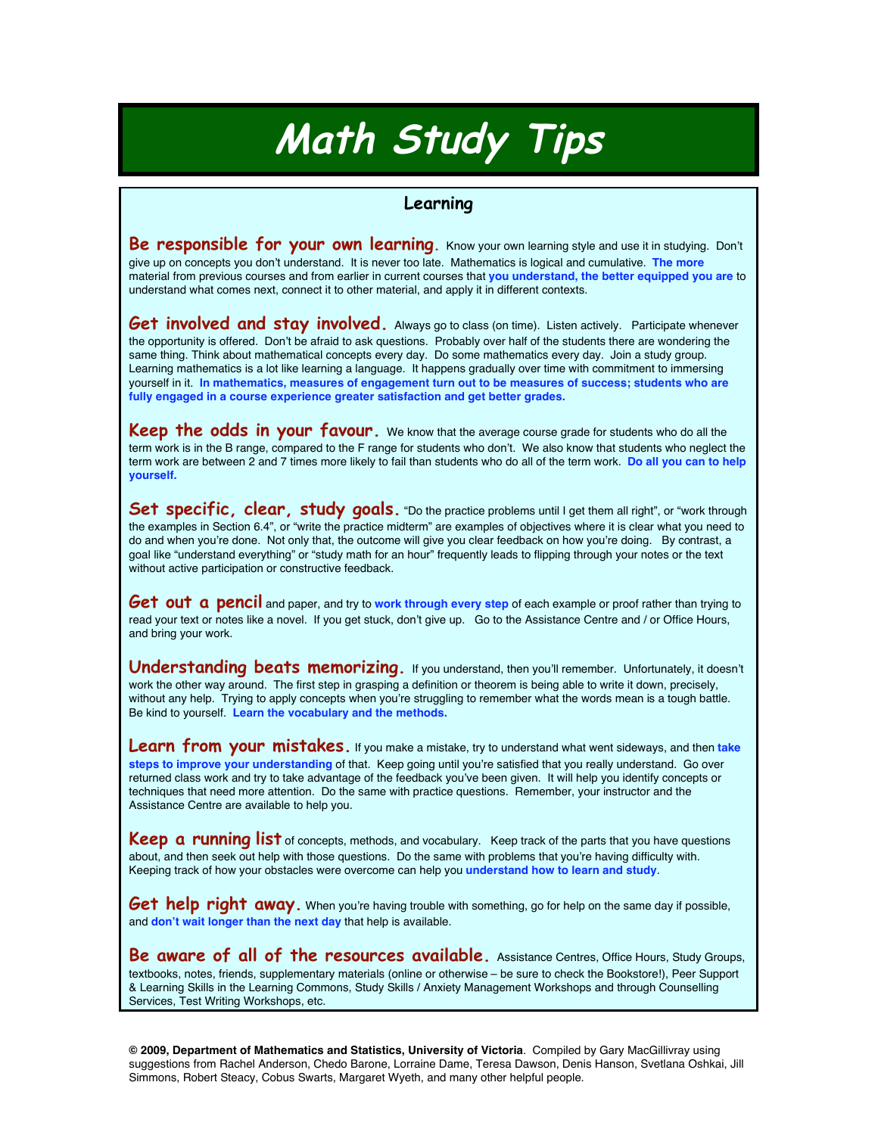## **Math Study Tips**

## **Learning**

**Be responsible for your own learning**. Know your own learning style and use it in studying. Don't give up on concepts you don't understand. It is never too late. Mathematics is logical and cumulative. **The more** material from previous courses and from earlier in current courses that **you understand, the better equipped you are** to understand what comes next, connect it to other material, and apply it in different contexts.

Get involved and stay involved. Always go to class (on time). Listen actively. Participate whenever the opportunity is offered. Don't be afraid to ask questions. Probably over half of the students there are wondering the same thing. Think about mathematical concepts every day. Do some mathematics every day. Join a study group. Learning mathematics is a lot like learning a language. It happens gradually over time with commitment to immersing yourself in it. **In mathematics, measures of engagement turn out to be measures of success; students who are fully engaged in a course experience greater satisfaction and get better grades.**

**Keep the odds in your favour**. We know that the average course grade for students who do all the term work is in the B range, compared to the F range for students who don't. We also know that students who neglect the term work are between 2 and 7 times more likely to fail than students who do all of the term work. **Do all you can to help yourself.**

Set specific, clear, study goals. "Do the practice problems until I get them all right", or "work through the examples in Section 6.4", or "write the practice midterm" are examples of objectives where it is clear what you need to do and when you're done. Not only that, the outcome will give you clear feedback on how you're doing. By contrast, a goal like "understand everything" or "study math for an hour" frequently leads to flipping through your notes or the text without active participation or constructive feedback.

**Get out a pencil** and paper, and try to work through every step of each example or proof rather than trying to read your text or notes like a novel. If you get stuck, don't give up. Go to the Assistance Centre and / or Office Hours, and bring your work.

**Understanding beats memorizing.** If you understand, then you'll remember. Unfortunately, it doesn'<sup>t</sup> work the other way around. The first step in grasping a definition or theorem is being able to write it down, precisely, without any help. Trying to apply concepts when you're struggling to remember what the words mean is a tough battle. Be kind to yourself. **Learn the vocabulary and the methods.**

Learn from your mistakes. If you make a mistake, try to understand what went sideways, and then take **steps to improve your understanding** of that. Keep going until you're satisfied that you really understand. Go over returned class work and try to take advantage of the feedback you've been given. It will help you identify concepts or techniques that need more attention. Do the same with practice questions. Remember, your instructor and the Assistance Centre are available to help you.

**Keep a running list** of concepts, methods, and vocabulary. Keep track of the parts that you have questions about, and then seek out help with those questions. Do the same with problems that you're having difficulty with. Keeping track of how your obstacles were overcome can help you **understand how to learn and study**.

**Get help right away.** When you're having trouble with something, go for help on the same day if possible, and **don't wait longer than the next day** that help is available.

**Be aware of all of the resources available.** Assistance Centres, Office Hours, Study Groups, textbooks, notes, friends, supplementary materials (online or otherwise – be sure to check the Bookstore!), Peer Support & Learning Skills in the Learning Commons, Study Skills / Anxiety Management Workshops and through Counselling Services, Test Writing Workshops, etc.

**© 2009, Department of Mathematics and Statistics, University of Victoria**. Compiled by Gary MacGillivray using suggestions from Rachel Anderson, Chedo Barone, Lorraine Dame, Teresa Dawson, Denis Hanson, Svetlana Oshkai, Jill Simmons, Robert Steacy, Cobus Swarts, Margaret Wyeth, and many other helpful people.